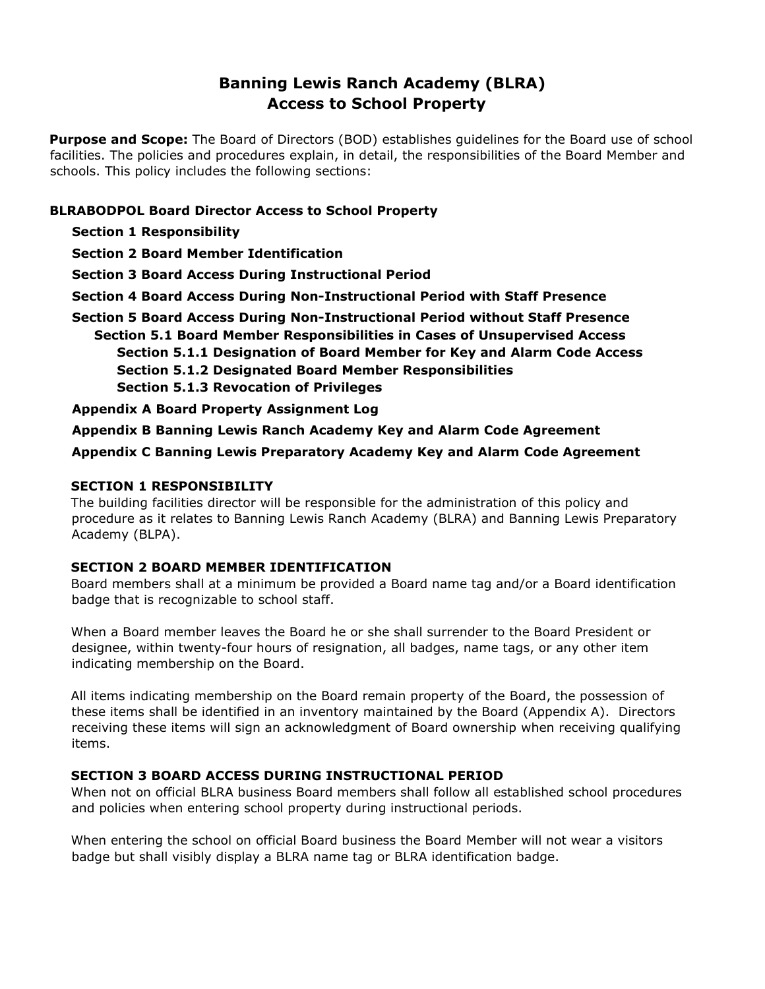# **Banning Lewis Ranch Academy (BLRA) Access to School Property**

**Purpose and Scope:** The Board of Directors (BOD) establishes guidelines for the Board use of school facilities. The policies and procedures explain, in detail, the responsibilities of the Board Member and schools. This policy includes the following sections:

## **BLRABODPOL Board Director Access to School Property**

- **Section 1 Responsibility**
- **Section 2 Board Member Identification**

**Section 3 Board Access During Instructional Period** 

- **Section 4 Board Access During Non-Instructional Period with Staff Presence**
- **Section 5 Board Access During Non-Instructional Period without Staff Presence Section 5.1 Board Member Responsibilities in Cases of Unsupervised Access Section 5.1.1 Designation of Board Member for Key and Alarm Code Access Section 5.1.2 Designated Board Member Responsibilities Section 5.1.3 Revocation of Privileges**

**Appendix A Board Property Assignment Log** 

**Appendix B Banning Lewis Ranch Academy Key and Alarm Code Agreement** 

**Appendix C Banning Lewis Preparatory Academy Key and Alarm Code Agreement** 

## **SECTION 1 RESPONSIBILITY**

The building facilities director will be responsible for the administration of this policy and procedure as it relates to Banning Lewis Ranch Academy (BLRA) and Banning Lewis Preparatory Academy (BLPA).

## **SECTION 2 BOARD MEMBER IDENTIFICATION**

Board members shall at a minimum be provided a Board name tag and/or a Board identification badge that is recognizable to school staff.

When a Board member leaves the Board he or she shall surrender to the Board President or designee, within twenty-four hours of resignation, all badges, name tags, or any other item indicating membership on the Board.

All items indicating membership on the Board remain property of the Board, the possession of these items shall be identified in an inventory maintained by the Board (Appendix A). Directors receiving these items will sign an acknowledgment of Board ownership when receiving qualifying items.

## **SECTION 3 BOARD ACCESS DURING INSTRUCTIONAL PERIOD**

When not on official BLRA business Board members shall follow all established school procedures and policies when entering school property during instructional periods.

When entering the school on official Board business the Board Member will not wear a visitors badge but shall visibly display a BLRA name tag or BLRA identification badge.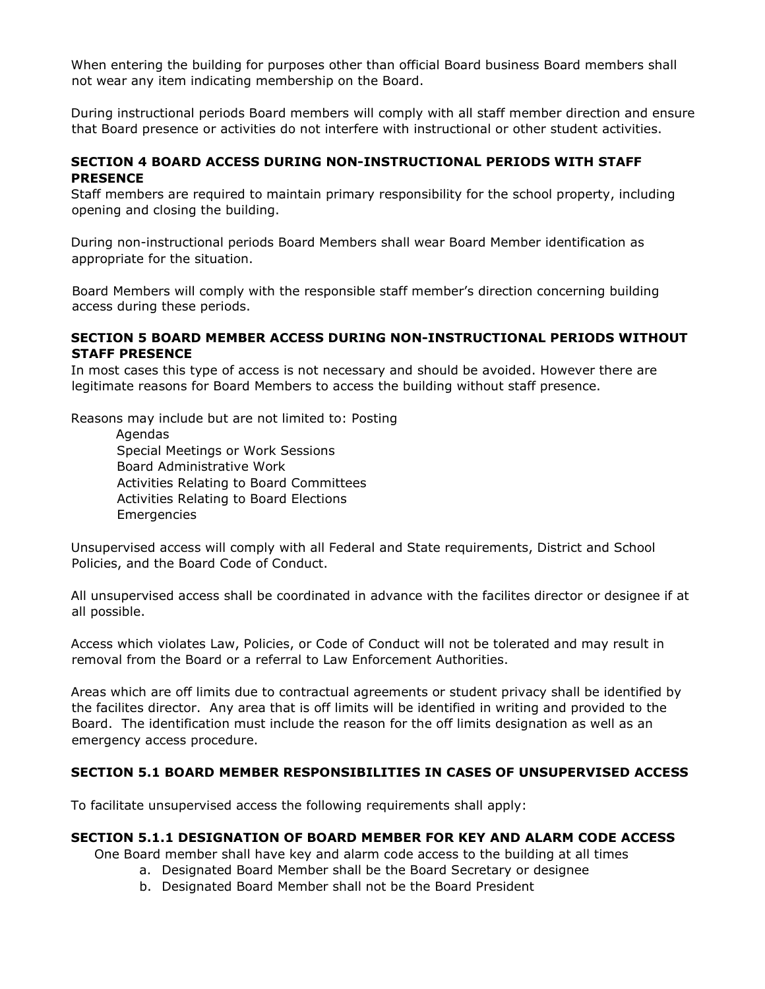When entering the building for purposes other than official Board business Board members shall not wear any item indicating membership on the Board.

During instructional periods Board members will comply with all staff member direction and ensure that Board presence or activities do not interfere with instructional or other student activities.

#### **SECTION 4 BOARD ACCESS DURING NON-INSTRUCTIONAL PERIODS WITH STAFF PRESENCE**

Staff members are required to maintain primary responsibility for the school property, including opening and closing the building.

During non-instructional periods Board Members shall wear Board Member identification as appropriate for the situation.

Board Members will comply with the responsible staff member's direction concerning building access during these periods.

#### **SECTION 5 BOARD MEMBER ACCESS DURING NON-INSTRUCTIONAL PERIODS WITHOUT STAFF PRESENCE**

In most cases this type of access is not necessary and should be avoided. However there are legitimate reasons for Board Members to access the building without staff presence.

Reasons may include but are not limited to: Posting

Agendas Special Meetings or Work Sessions Board Administrative Work Activities Relating to Board Committees Activities Relating to Board Elections Emergencies

Unsupervised access will comply with all Federal and State requirements, District and School Policies, and the Board Code of Conduct.

All unsupervised access shall be coordinated in advance with the facilites director or designee if at all possible.

Access which violates Law, Policies, or Code of Conduct will not be tolerated and may result in removal from the Board or a referral to Law Enforcement Authorities.

Areas which are off limits due to contractual agreements or student privacy shall be identified by the facilites director. Any area that is off limits will be identified in writing and provided to the Board. The identification must include the reason for the off limits designation as well as an emergency access procedure.

#### **SECTION 5.1 BOARD MEMBER RESPONSIBILITIES IN CASES OF UNSUPERVISED ACCESS**

To facilitate unsupervised access the following requirements shall apply:

#### **SECTION 5.1.1 DESIGNATION OF BOARD MEMBER FOR KEY AND ALARM CODE ACCESS**

One Board member shall have key and alarm code access to the building at all times

- a. Designated Board Member shall be the Board Secretary or designee
- b. Designated Board Member shall not be the Board President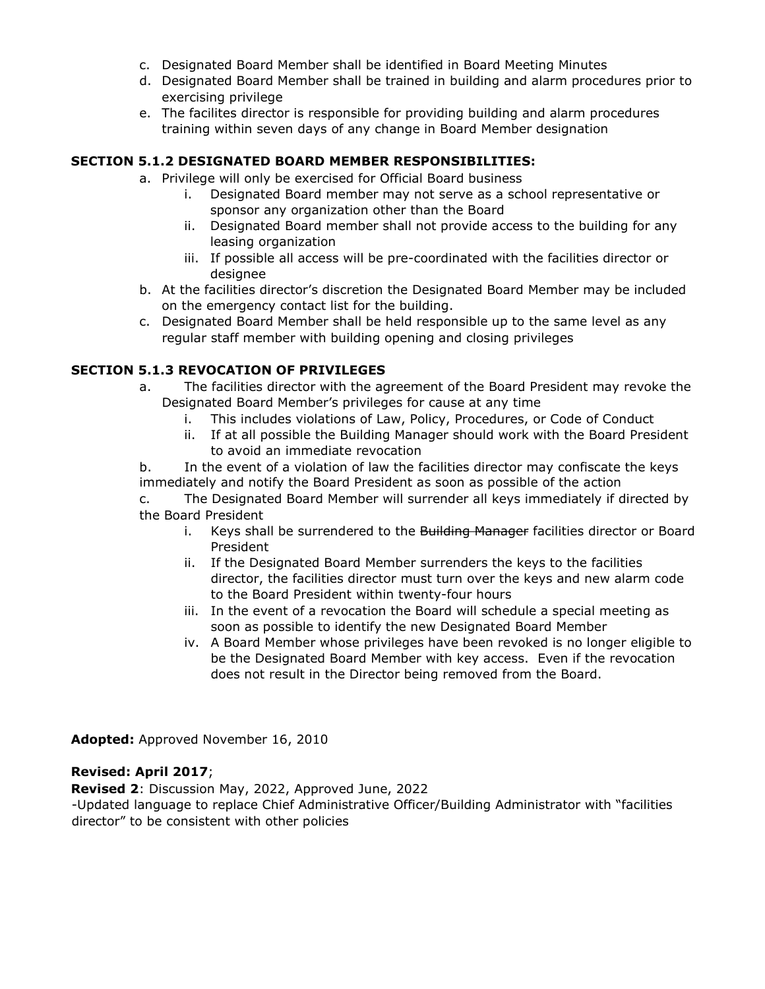- c. Designated Board Member shall be identified in Board Meeting Minutes
- d. Designated Board Member shall be trained in building and alarm procedures prior to exercising privilege
- e. The facilites director is responsible for providing building and alarm procedures training within seven days of any change in Board Member designation

## **SECTION 5.1.2 DESIGNATED BOARD MEMBER RESPONSIBILITIES:**

- a. Privilege will only be exercised for Official Board business
	- i. Designated Board member may not serve as a school representative or sponsor any organization other than the Board
	- ii. Designated Board member shall not provide access to the building for any leasing organization
	- iii. If possible all access will be pre-coordinated with the facilities director or designee
- b. At the facilities director's discretion the Designated Board Member may be included on the emergency contact list for the building.
- c. Designated Board Member shall be held responsible up to the same level as any regular staff member with building opening and closing privileges

## **SECTION 5.1.3 REVOCATION OF PRIVILEGES**

- a. The facilities director with the agreement of the Board President may revoke the Designated Board Member's privileges for cause at any time
	- i. This includes violations of Law, Policy, Procedures, or Code of Conduct
	- ii. If at all possible the Building Manager should work with the Board President to avoid an immediate revocation

b. In the event of a violation of law the facilities director may confiscate the keys immediately and notify the Board President as soon as possible of the action

c. The Designated Board Member will surrender all keys immediately if directed by the Board President

- i. Keys shall be surrendered to the Building Manager facilities director or Board President
- ii. If the Designated Board Member surrenders the keys to the facilities director, the facilities director must turn over the keys and new alarm code to the Board President within twenty-four hours
- iii. In the event of a revocation the Board will schedule a special meeting as soon as possible to identify the new Designated Board Member
- iv. A Board Member whose privileges have been revoked is no longer eligible to be the Designated Board Member with key access. Even if the revocation does not result in the Director being removed from the Board.

**Adopted:** Approved November 16, 2010

## **Revised: April 2017**;

**Revised 2**: Discussion May, 2022, Approved June, 2022

-Updated language to replace Chief Administrative Officer/Building Administrator with "facilities director" to be consistent with other policies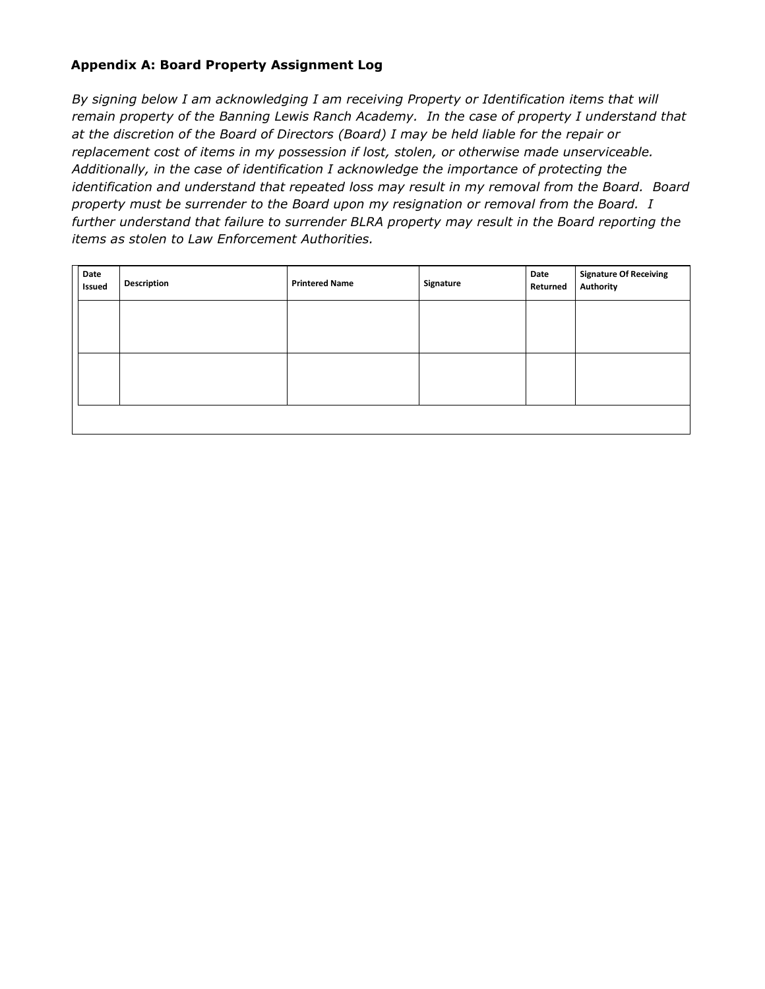## **Appendix A: Board Property Assignment Log**

*By signing below I am acknowledging I am receiving Property or Identification items that will remain property of the Banning Lewis Ranch Academy. In the case of property I understand that at the discretion of the Board of Directors (Board) I may be held liable for the repair or replacement cost of items in my possession if lost, stolen, or otherwise made unserviceable. Additionally, in the case of identification I acknowledge the importance of protecting the identification and understand that repeated loss may result in my removal from the Board. Board property must be surrender to the Board upon my resignation or removal from the Board. I further understand that failure to surrender BLRA property may result in the Board reporting the items as stolen to Law Enforcement Authorities.* 

| Date<br>Issued | Description | <b>Printered Name</b> | Signature | Date<br>Returned | <b>Signature Of Receiving</b><br>Authority |
|----------------|-------------|-----------------------|-----------|------------------|--------------------------------------------|
|                |             |                       |           |                  |                                            |
|                |             |                       |           |                  |                                            |
|                |             |                       |           |                  |                                            |
|                |             |                       |           |                  |                                            |
|                |             |                       |           |                  |                                            |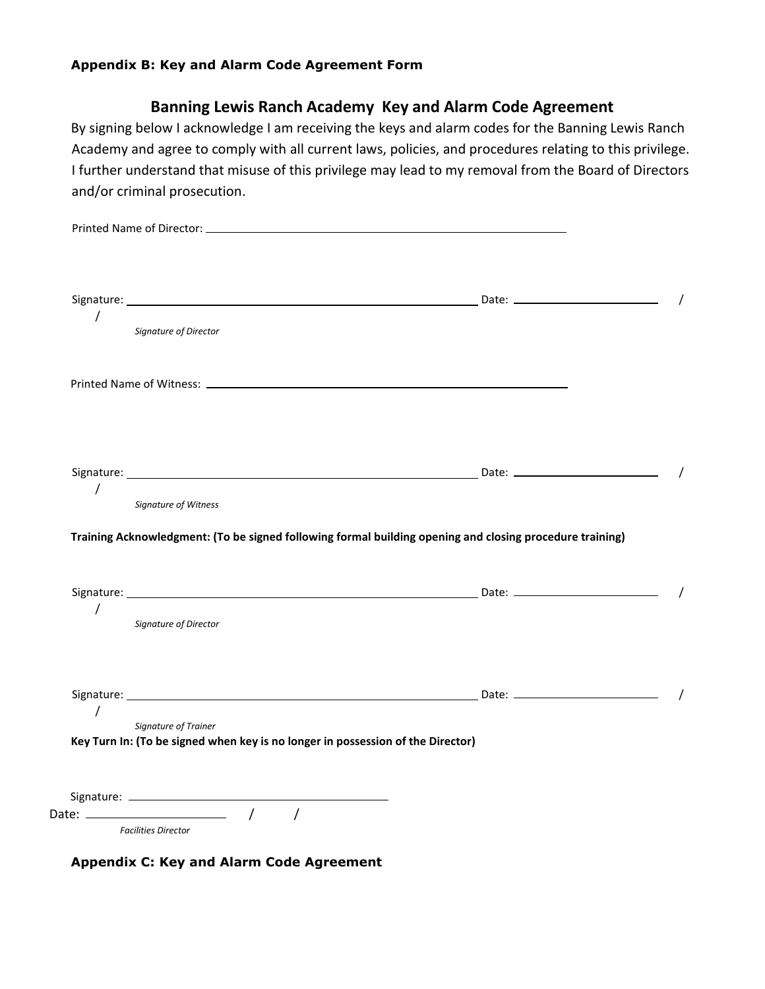#### **Appendix B: Key and Alarm Code Agreement Form**

## **Banning Lewis Ranch Academy Key and Alarm Code Agreement**

By signing below I acknowledge I am receiving the keys and alarm codes for the Banning Lewis Ranch Academy and agree to comply with all current laws, policies, and procedures relating to this privilege. I further understand that misuse of this privilege may lead to my removal from the Board of Directors and/or criminal prosecution.

| $\sqrt{2}$     | Signature of Director       |                                                                                                          |  |
|----------------|-----------------------------|----------------------------------------------------------------------------------------------------------|--|
|                |                             |                                                                                                          |  |
|                |                             |                                                                                                          |  |
|                |                             |                                                                                                          |  |
| $\overline{1}$ | <b>Signature of Witness</b> |                                                                                                          |  |
| $\overline{1}$ | Signature of Director       | Training Acknowledgment: (To be signed following formal building opening and closing procedure training) |  |
| $\sqrt{2}$     |                             |                                                                                                          |  |

**Appendix C: Key and Alarm Code Agreement**